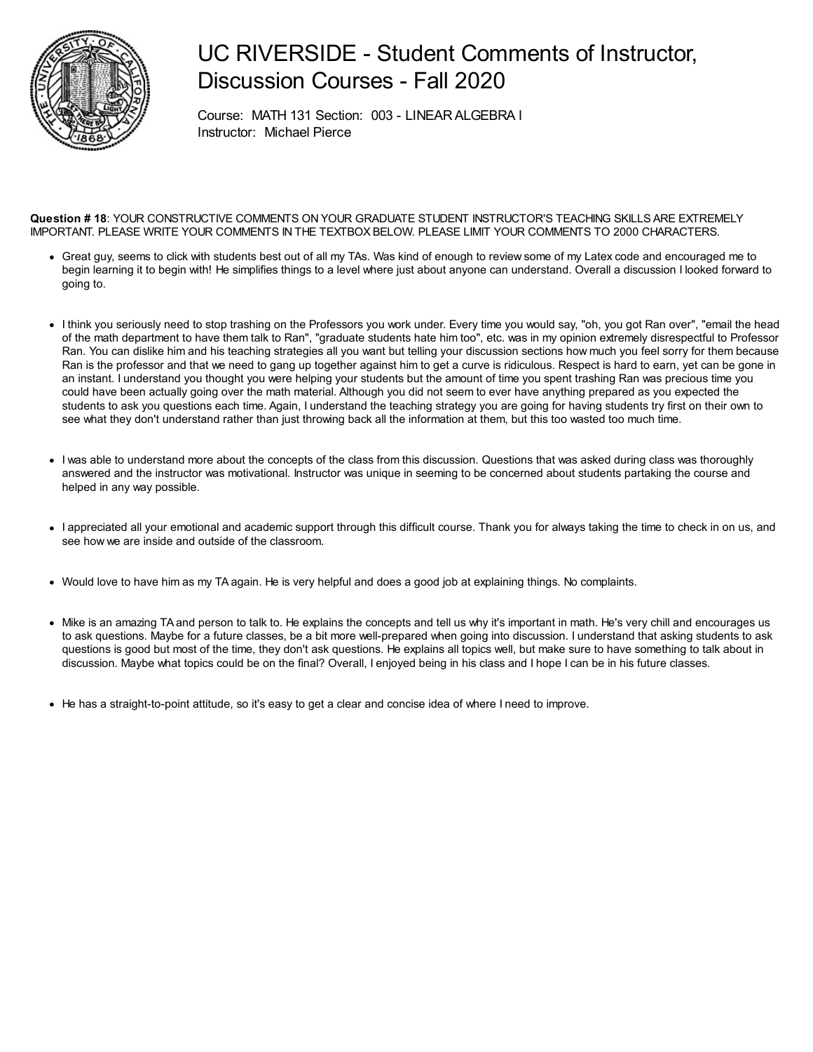

## UC RIVERSIDE - Student Comments of Instructor, Discussion Courses - Fall 2020

Course: MATH 131 Section: 003 - LINEARALGEBRA I Instructor: Michael Pierce

#### **Question # 18**: YOUR CONSTRUCTIVE COMMENTS ON YOUR GRADUATE STUDENT INSTRUCTOR'S TEACHING SKILLS ARE EXTREMELY IMPORTANT. PLEASE WRITE YOUR COMMENTS IN THE TEXTBOX BELOW. PLEASE LIMIT YOUR COMMENTS TO 2000 CHARACTERS.

- Great guy, seems to click with students best out of all my TAs. Was kind of enough to review some of my Latex code and encouraged me to begin learning it to begin with! He simplifies things to a level where just about anyone can understand. Overall a discussion I looked forward to going to.
- I think you seriously need to stop trashing on the Professors you work under. Every time you would say, "oh, you got Ran over", "email the head of the math department to have them talk to Ran", "graduate students hate him too", etc. was in my opinion extremely disrespectful to Professor Ran. You can dislike him and his teaching strategies all you want but telling your discussion sections how much you feel sorry for them because Ran is the professor and that we need to gang up together against him to get a curve is ridiculous. Respect is hard to earn, yet can be gone in an instant. I understand you thought you were helping your students but the amount of time you spent trashing Ran was precious time you could have been actually going over the math material. Although you did not seem to ever have anything prepared as you expected the students to ask you questions each time. Again, I understand the teaching strategy you are going for having students try first on their own to see what they don't understand rather than just throwing back all the information at them, but this too wasted too much time.
- I was able to understand more about the concepts of the class from this discussion. Questions that was asked during class was thoroughly answered and the instructor was motivational. Instructor was unique in seeming to be concerned about students partaking the course and helped in any way possible.
- I appreciated all your emotional and academic support through this difficult course. Thank you for always taking the time to check in on us, and see how we are inside and outside of the classroom.
- Would love to have him as my TA again. He is very helpful and does a good job at explaining things. No complaints.
- Mike is an amazing TA and person to talk to. He explains the concepts and tell us why it's important in math. He's very chill and encourages us to ask questions. Maybe for a future classes, be a bit more well-prepared when going into discussion. I understand that asking students to ask questions is good but most of the time, they don't ask questions. He explains all topics well, but make sure to have something to talk about in discussion. Maybe what topics could be on the final? Overall, I enjoyed being in his class and I hope I can be in his future classes.
- He has a straight-to-point attitude, so it's easy to get a clear and concise idea of where I need to improve.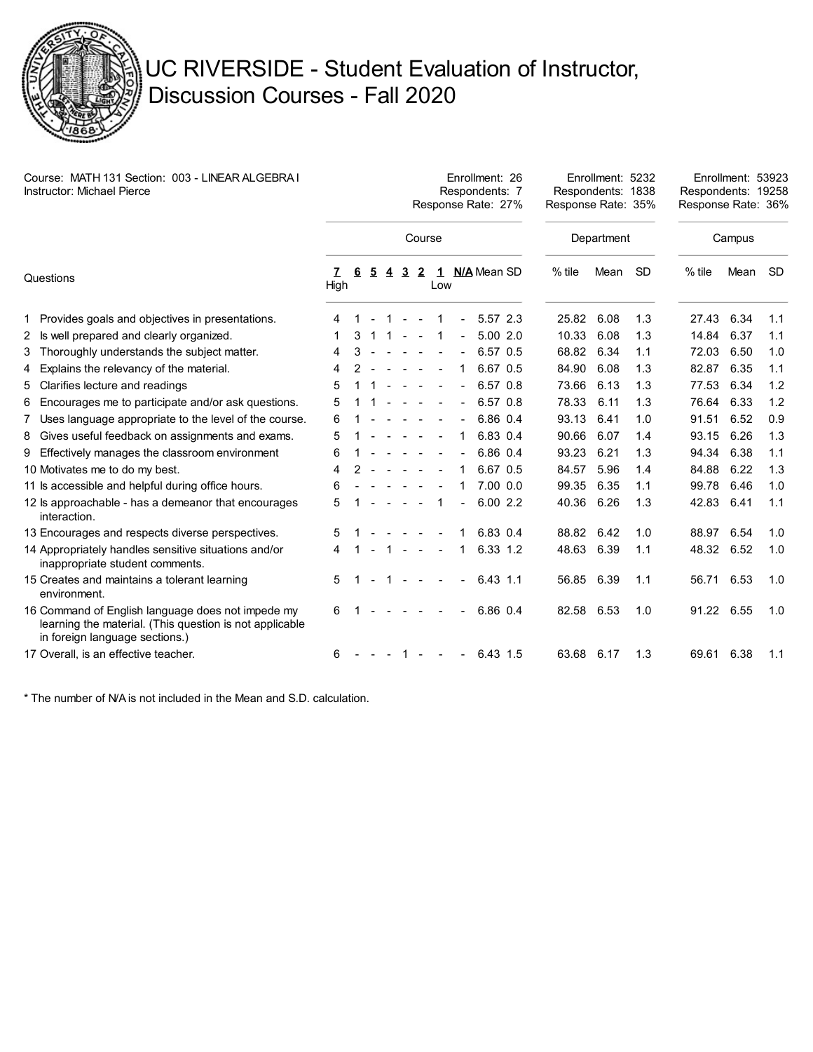

# UC RIVERSIDE - Student Evaluation of Instructor, Discussion Courses - Fall 2020

| Course: MATH 131 Section: 003 - LINEAR ALGEBRA I<br>Instructor: Michael Pierce |                                                                                                                                                | Enrollment: 26<br>Respondents: 7<br>Response Rate: 27% |    |                |                |                |                |     |                |               |             | Enrollment: 5232<br>Respondents: 1838<br>Response Rate: 35% |      |           | Enrollment: 53923<br>Respondents: 19258<br>Response Rate: 36% |      |           |
|--------------------------------------------------------------------------------|------------------------------------------------------------------------------------------------------------------------------------------------|--------------------------------------------------------|----|----------------|----------------|----------------|----------------|-----|----------------|---------------|-------------|-------------------------------------------------------------|------|-----------|---------------------------------------------------------------|------|-----------|
|                                                                                |                                                                                                                                                |                                                        |    |                |                |                | Course         |     |                |               |             | Department                                                  |      |           | Campus                                                        |      |           |
| Questions                                                                      |                                                                                                                                                | 7<br>High                                              | -6 | $\overline{5}$ | $\overline{4}$ | $\overline{3}$ | $\overline{2}$ | Low |                | 1 N/A Mean SD |             | $%$ tile                                                    | Mean | <b>SD</b> | $%$ tile                                                      | Mean | <b>SD</b> |
|                                                                                | 1 Provides goals and objectives in presentations.                                                                                              | 4                                                      |    |                |                |                |                |     |                |               | 5.57 2.3    | 25.82                                                       | 6.08 | 1.3       | 27.43                                                         | 6.34 | 1.1       |
|                                                                                | 2 Is well prepared and clearly organized.                                                                                                      |                                                        | 3  |                |                |                |                |     | $\blacksquare$ |               | 5.002.0     | 10.33                                                       | 6.08 | 1.3       | 14.84                                                         | 6.37 | 1.1       |
|                                                                                | 3 Thoroughly understands the subject matter.                                                                                                   | 4                                                      | 3  |                |                |                |                |     |                |               | 6.57 0.5    | 68.82                                                       | 6.34 | 1.1       | 72.03                                                         | 6.50 | 1.0       |
|                                                                                | 4 Explains the relevancy of the material.                                                                                                      | 4                                                      |    |                |                |                |                |     | 1              |               | 6.67 0.5    | 84.90                                                       | 6.08 | 1.3       | 82.87                                                         | 6.35 | 1.1       |
|                                                                                | 5 Clarifies lecture and readings                                                                                                               | 5                                                      |    |                |                |                |                |     |                |               | 6.57 0.8    | 73.66                                                       | 6.13 | 1.3       | 77.53                                                         | 6.34 | 1.2       |
|                                                                                | 6 Encourages me to participate and/or ask questions.                                                                                           | 5                                                      |    |                |                |                |                |     |                |               | 6.57 0.8    | 78.33                                                       | 6.11 | 1.3       | 76.64                                                         | 6.33 | 1.2       |
|                                                                                | 7 Uses language appropriate to the level of the course.                                                                                        | 6                                                      |    |                |                |                |                |     |                |               | 6.86 0.4    | 93.13                                                       | 6.41 | 1.0       | 91.51                                                         | 6.52 | 0.9       |
|                                                                                | 8 Gives useful feedback on assignments and exams.                                                                                              | 5                                                      |    |                |                |                |                |     | 1              |               | 6.83 0.4    | 90.66                                                       | 6.07 | 1.4       | 93.15                                                         | 6.26 | 1.3       |
|                                                                                | 9 Effectively manages the classroom environment                                                                                                | 6                                                      |    |                |                |                |                |     | $\blacksquare$ |               | 6.86 0.4    | 93.23                                                       | 6.21 | 1.3       | 94.34                                                         | 6.38 | 1.1       |
|                                                                                | 10 Motivates me to do my best.                                                                                                                 | 4                                                      |    |                |                |                |                |     |                |               | 6.67 0.5    | 84.57                                                       | 5.96 | 1.4       | 84.88                                                         | 6.22 | 1.3       |
|                                                                                | 11 Is accessible and helpful during office hours.                                                                                              | 6                                                      |    |                |                |                |                |     |                |               | $7.00\ 0.0$ | 99.35                                                       | 6.35 | 1.1       | 99.78                                                         | 6.46 | 1.0       |
|                                                                                | 12 ls approachable - has a demeanor that encourages<br>interaction.                                                                            | 5                                                      |    |                |                |                |                | 1   |                |               | 6.002.2     | 40.36                                                       | 6.26 | 1.3       | 42.83                                                         | 6.41 | 1.1       |
|                                                                                | 13 Encourages and respects diverse perspectives.                                                                                               | 5                                                      |    |                |                |                |                |     |                |               | 6.83 0.4    | 88.82                                                       | 6.42 | 1.0       | 88.97                                                         | 6.54 | 1.0       |
|                                                                                | 14 Appropriately handles sensitive situations and/or<br>inappropriate student comments.                                                        | 4                                                      |    |                |                | $\sim$         | $\sim$         |     | 1              |               | 6.33 1.2    | 48.63                                                       | 6.39 | 1.1       | 48.32                                                         | 6.52 | 1.0       |
|                                                                                | 15 Creates and maintains a tolerant learning<br>environment.                                                                                   | 5                                                      |    |                |                |                |                |     |                |               | $6.43$ 1.1  | 56.85 6.39                                                  |      | 1.1       | 56.71                                                         | 6.53 | 1.0       |
|                                                                                | 16 Command of English language does not impede my<br>learning the material. (This question is not applicable<br>in foreign language sections.) | 6                                                      |    |                |                |                |                |     |                |               | 6.86 0.4    | 82.58 6.53                                                  |      | 1.0       | 91.22 6.55                                                    |      | 1.0       |
|                                                                                | 17 Overall, is an effective teacher.                                                                                                           | 6                                                      |    |                |                | $\mathbf{1}$   | $\sim$         |     | $\blacksquare$ |               | 6.43 1.5    | 63.68 6.17                                                  |      | 1.3       | 69.61                                                         | 6.38 | 1.1       |

\* The number of N/A is not included in the Mean and S.D. calculation.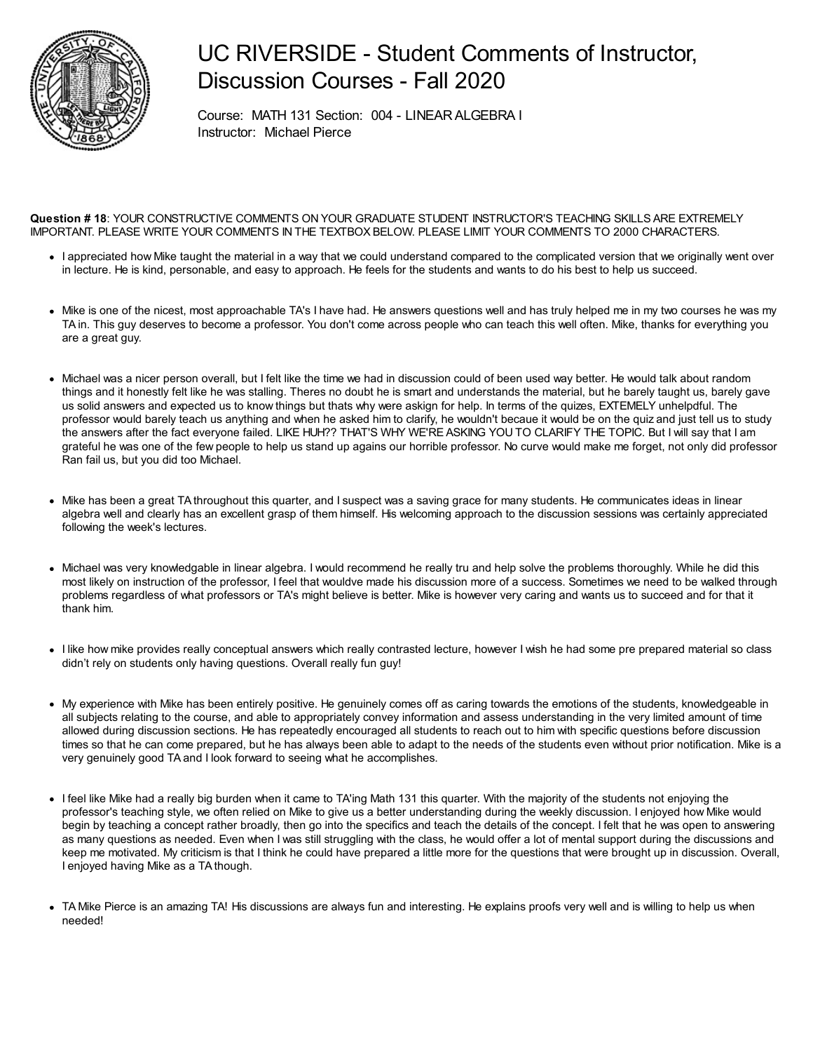

## UC RIVERSIDE - Student Comments of Instructor, Discussion Courses - Fall 2020

Course: MATH 131 Section: 004 - LINEARALGEBRA I Instructor: Michael Pierce

**Question # 18**: YOUR CONSTRUCTIVE COMMENTS ON YOUR GRADUATE STUDENT INSTRUCTOR'S TEACHING SKILLS ARE EXTREMELY IMPORTANT. PLEASE WRITE YOUR COMMENTS IN THE TEXTBOX BELOW. PLEASE LIMIT YOUR COMMENTS TO 2000 CHARACTERS.

- I appreciated how Mike taught the material in a way that we could understand compared to the complicated version that we originally went over in lecture. He is kind, personable, and easy to approach. He feels for the students and wants to do his best to help us succeed.
- Mike is one of the nicest, most approachable TA's I have had. He answers questions well and has truly helped me in my two courses he was my TA in. This guy deserves to become a professor. You don't come across people who can teach this well often. Mike, thanks for everything you are a great guy.
- Michael was a nicer person overall, but I felt like the time we had in discussion could of been used way better. He would talk about random things and it honestly felt like he was stalling. Theres no doubt he is smart and understands the material, but he barely taught us, barely gave us solid answers and expected us to know things but thats why were askign for help. In terms of the quizes, EXTEMELY unhelpdful. The professor would barely teach us anything and when he asked him to clarify, he wouldn't becaue it would be on the quiz and just tell us to study the answers after the fact everyone failed. LIKE HUH?? THAT'S WHY WE'RE ASKING YOU TO CLARIFY THE TOPIC. But I will say that I am grateful he was one of the few people to help us stand up agains our horrible professor. No curve would make me forget, not only did professor Ran fail us, but you did too Michael.
- Mike has been a great TA throughout this quarter, and I suspect was a saving grace for many students. He communicates ideas in linear algebra well and clearly has an excellent grasp of them himself. His welcoming approach to the discussion sessions was certainly appreciated following the week's lectures.
- Michael was very knowledgable in linear algebra. I would recommend he really tru and help solve the problems thoroughly. While he did this most likely on instruction of the professor, I feel that wouldve made his discussion more of a success. Sometimes we need to be walked through problems regardless of what professors or TA's might believe is better. Mike is however very caring and wants us to succeed and for that it thank him.
- I like how mike provides really conceptual answers which really contrasted lecture, however I wish he had some pre prepared material so class didn't rely on students only having questions. Overall really fun guy!
- My experience with Mike has been entirely positive. He genuinely comes off as caring towards the emotions of the students, knowledgeable in all subjects relating to the course, and able to appropriately convey information and assess understanding in the very limited amount of time allowed during discussion sections. He has repeatedly encouraged all students to reach out to him with specific questions before discussion times so that he can come prepared, but he has always been able to adapt to the needs of the students even without prior notification. Mike is a very genuinely good TA and I look forward to seeing what he accomplishes.
- I feel like Mike had a really big burden when it came to TA'ing Math 131 this quarter. With the majority of the students not enjoying the professor's teaching style, we often relied on Mike to give us a better understanding during the weekly discussion. I enjoyed how Mike would begin by teaching a concept rather broadly, then go into the specifics and teach the details of the concept. I felt that he was open to answering as many questions as needed. Even when I was still struggling with the class, he would offer a lot of mental support during the discussions and keep me motivated. My criticism is that I think he could have prepared a little more for the questions that were brought up in discussion. Overall, I enjoyed having Mike as a TA though.
- TA Mike Pierce is an amazing TA! His discussions are always fun and interesting. He explains proofs very well and is willing to help us when needed!